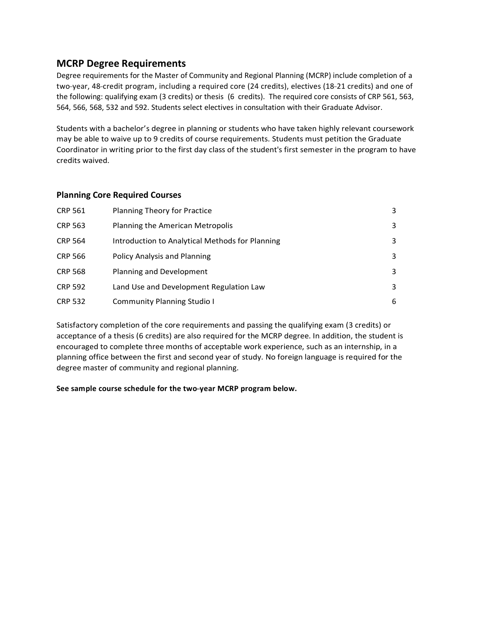## **MCRP Degree Requirements**

Degree requirements for the Master of Community and Regional Planning (MCRP) include completion of a two-year, 48-credit program, including a required core (24 credits), electives (18-21 credits) and one of the following: qualifying exam (3 credits) or thesis (6 credits). The required core consists of CRP 561, 563, 564, 566, 568, 532 and 592. Students select electives in consultation with their Graduate Advisor.

Students with a bachelor's degree in planning or students who have taken highly relevant coursework may be able to waive up to 9 credits of course requirements. Students must petition the Graduate Coordinator in writing prior to the first day class of the student's first semester in the program to have credits waived.

## **Planning Core Required Courses**

| <b>CRP 561</b> | <b>Planning Theory for Practice</b>             | 3 |
|----------------|-------------------------------------------------|---|
| <b>CRP 563</b> | Planning the American Metropolis                | 3 |
| <b>CRP 564</b> | Introduction to Analytical Methods for Planning | 3 |
| <b>CRP 566</b> | <b>Policy Analysis and Planning</b>             | 3 |
| <b>CRP 568</b> | Planning and Development                        | 3 |
| <b>CRP 592</b> | Land Use and Development Regulation Law         | 3 |
| <b>CRP 532</b> | <b>Community Planning Studio I</b>              | 6 |

Satisfactory completion of the core requirements and passing the qualifying exam (3 credits) or acceptance of a thesis (6 credits) are also required for the MCRP degree. In addition, the student is encouraged to complete three months of acceptable work experience, such as an internship, in a planning office between the first and second year of study. No foreign language is required for the degree master of community and regional planning.

**See sample course schedule for the two--‐year MCRP program below.**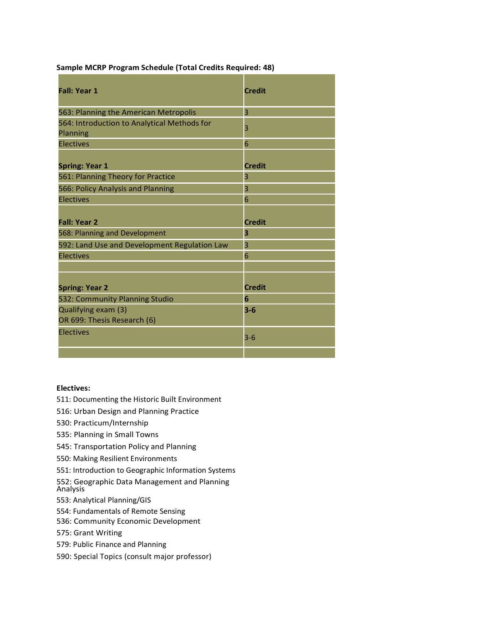| <b>Fall: Year 1</b>                                            | <b>Credit</b> |
|----------------------------------------------------------------|---------------|
| 563: Planning the American Metropolis                          | 3             |
| 564: Introduction to Analytical Methods for<br><b>Planning</b> | 3             |
| <b>Electives</b>                                               | 6             |
| <b>Spring: Year 1</b>                                          | <b>Credit</b> |
| 561: Planning Theory for Practice                              | 3             |
| 566: Policy Analysis and Planning                              | 3             |
| <b>Electives</b>                                               | 6             |
|                                                                |               |
| <b>Fall: Year 2</b>                                            | <b>Credit</b> |
| 568: Planning and Development                                  | 3             |
| 592: Land Use and Development Regulation Law                   | 3             |
| <b>Electives</b>                                               | 6             |
|                                                                |               |
| <b>Spring: Year 2</b>                                          | <b>Credit</b> |
| 532: Community Planning Studio                                 | 6             |
| Qualifying exam (3)<br>OR 699: Thesis Research (6)             | $3 - 6$       |
| <b>Electives</b>                                               | $3 - 6$       |

**Sample MCRP Program Schedule (Total Credits Required: 48)**

## **Electives:**

- 511: Documenting the Historic Built Environment
- 516: Urban Design and Planning Practice
- 530: Practicum/Internship
- 535: Planning in Small Towns
- 545: Transportation Policy and Planning
- 550: Making Resilient Environments
- 551: Introduction to Geographic Information Systems
- 552: Geographic Data Management and Planning Analysis
- 553: Analytical Planning/GIS
- 554: Fundamentals of Remote Sensing
- 536: Community Economic Development
- 575: Grant Writing
- 579: Public Finance and Planning
- 590: Special Topics (consult major professor)